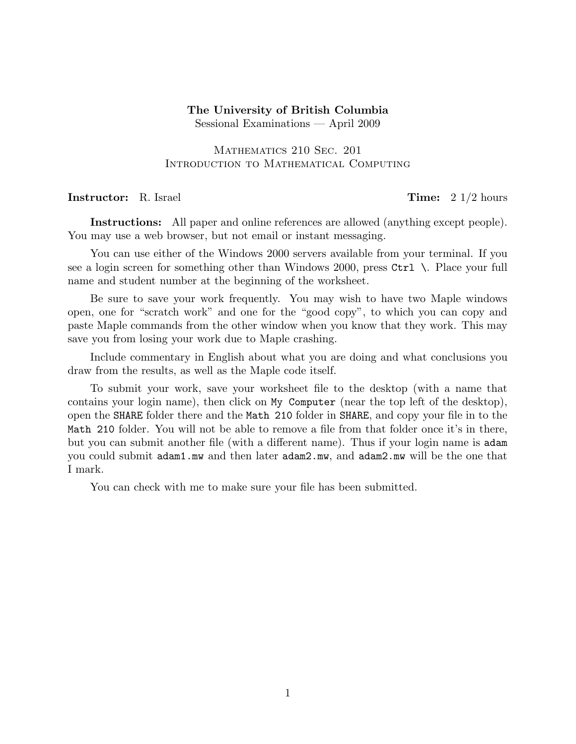## The University of British Columbia Sessional Examinations — April 2009

## Mathematics 210 Sec. 201 Introduction to Mathematical Computing

## **Instructor:** R. Israel **Time:** 2 1/2 hours

Instructions: All paper and online references are allowed (anything except people). You may use a web browser, but not email or instant messaging.

You can use either of the Windows 2000 servers available from your terminal. If you see a login screen for something other than Windows 2000, press Ctrl \. Place your full name and student number at the beginning of the worksheet.

Be sure to save your work frequently. You may wish to have two Maple windows open, one for "scratch work" and one for the "good copy", to which you can copy and paste Maple commands from the other window when you know that they work. This may save you from losing your work due to Maple crashing.

Include commentary in English about what you are doing and what conclusions you draw from the results, as well as the Maple code itself.

To submit your work, save your worksheet file to the desktop (with a name that contains your login name), then click on My Computer (near the top left of the desktop), open the SHARE folder there and the Math 210 folder in SHARE, and copy your file in to the Math 210 folder. You will not be able to remove a file from that folder once it's in there, but you can submit another file (with a different name). Thus if your login name is adam you could submit adam1.mw and then later adam2.mw, and adam2.mw will be the one that I mark.

You can check with me to make sure your file has been submitted.